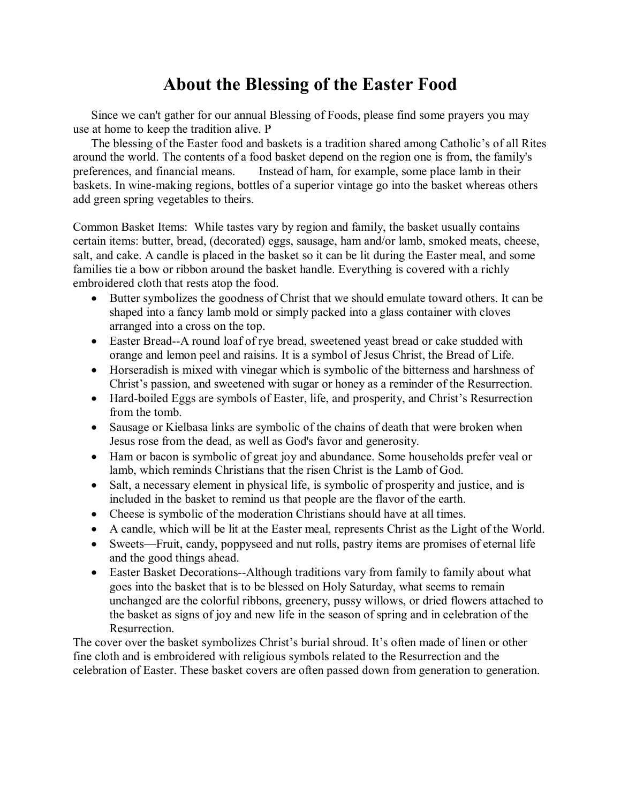# **About the Blessing of the Easter Food**

Since we can't gather for our annual Blessing of Foods, please find some prayers you may use at home to keep the tradition alive. P

The blessing of the Easter food and baskets is a tradition shared among Catholic's of all Rites around the world. The contents of a food basket depend on the region one is from, the family's preferences, and financial means. Instead of ham, for example, some place lamb in their baskets. In wine-making regions, bottles of a superior vintage go into the basket whereas others add green spring vegetables to theirs.

Common Basket Items: While tastes vary by region and family, the basket usually contains certain items: butter, bread, (decorated) eggs, sausage, ham and/or lamb, smoked meats, cheese, salt, and cake. A candle is placed in the basket so it can be lit during the Easter meal, and some families tie a bow or ribbon around the basket handle. Everything is covered with a richly embroidered cloth that rests atop the food.

- Butter symbolizes the goodness of Christ that we should emulate toward others. It can be shaped into a fancy lamb mold or simply packed into a glass container with cloves arranged into a cross on the top.
- Easter Bread--A round loaf of rye bread, sweetened yeast bread or cake studded with orange and lemon peel and raisins. It is a symbol of Jesus Christ, the Bread of Life.
- Horseradish is mixed with vinegar which is symbolic of the bitterness and harshness of Christ's passion, and sweetened with sugar or honey as a reminder of the Resurrection.
- Hard-boiled Eggs are symbols of Easter, life, and prosperity, and Christ's Resurrection from the tomb.
- Sausage or Kielbasa links are symbolic of the chains of death that were broken when Jesus rose from the dead, as well as God's favor and generosity.
- Ham or bacon is symbolic of great joy and abundance. Some households prefer veal or lamb, which reminds Christians that the risen Christ is the Lamb of God.
- Salt, a necessary element in physical life, is symbolic of prosperity and justice, and is included in the basket to remind us that people are the flavor of the earth.
- Cheese is symbolic of the moderation Christians should have at all times.
- A candle, which will be lit at the Easter meal, represents Christ as the Light of the World.
- Sweets—Fruit, candy, poppyseed and nut rolls, pastry items are promises of eternal life and the good things ahead.
- Easter Basket Decorations--Although traditions vary from family to family about what goes into the basket that is to be blessed on Holy Saturday, what seems to remain unchanged are the colorful ribbons, greenery, pussy willows, or dried flowers attached to the basket as signs of joy and new life in the season of spring and in celebration of the Resurrection.

The cover over the basket symbolizes Christ's burial shroud. It's often made of linen or other fine cloth and is embroidered with religious symbols related to the Resurrection and the celebration of Easter. These basket covers are often passed down from generation to generation.